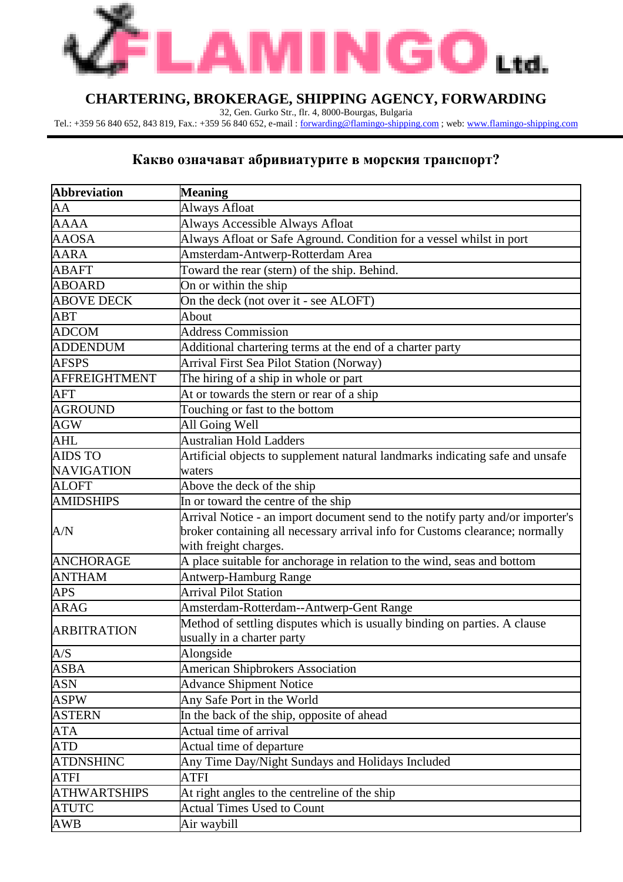

## **CHARTERING, BROKERAGE, SHIPPING AGENCY, FORWARDING**

32, Gen. Gurko Str., flr. 4, 8000-Bourgas, Bulgaria

Tel.: +359 56 840 652, 843 819, Fax.: +359 56 840 652, e-mail : <u>[forwarding@flamingo-shipping.com](mailto:forwarding@flamingo-shipping.com)</u> ; web: <u>www.flamingo-shipping.com</u>

## **Какво означават абривиатурите в морския транспорт?**

| <b>Abbreviation</b> | <b>Meaning</b>                                                                 |
|---------------------|--------------------------------------------------------------------------------|
| AA                  | Always Afloat                                                                  |
| <b>AAAA</b>         | Always Accessible Always Afloat                                                |
| <b>AAOSA</b>        | Always Afloat or Safe Aground. Condition for a vessel whilst in port           |
| <b>AARA</b>         | Amsterdam-Antwerp-Rotterdam Area                                               |
| <b>ABAFT</b>        | Toward the rear (stern) of the ship. Behind.                                   |
| <b>ABOARD</b>       | On or within the ship                                                          |
| <b>ABOVE DECK</b>   | On the deck (not over it - see ALOFT)                                          |
| <b>ABT</b>          | About                                                                          |
| <b>ADCOM</b>        | <b>Address Commission</b>                                                      |
| <b>ADDENDUM</b>     | Additional chartering terms at the end of a charter party                      |
| <b>AFSPS</b>        | Arrival First Sea Pilot Station (Norway)                                       |
| AFFREIGHTMENT       | The hiring of a ship in whole or part                                          |
| <b>AFT</b>          | At or towards the stern or rear of a ship                                      |
| <b>AGROUND</b>      | Touching or fast to the bottom                                                 |
| <b>AGW</b>          | All Going Well                                                                 |
| <b>AHL</b>          | <b>Australian Hold Ladders</b>                                                 |
| <b>AIDS TO</b>      | Artificial objects to supplement natural landmarks indicating safe and unsafe  |
| <b>NAVIGATION</b>   | waters                                                                         |
| <b>ALOFT</b>        | Above the deck of the ship                                                     |
| <b>AMIDSHIPS</b>    | In or toward the centre of the ship                                            |
|                     | Arrival Notice - an import document send to the notify party and/or importer's |
| A/N                 | broker containing all necessary arrival info for Customs clearance; normally   |
|                     | with freight charges.                                                          |
| <b>ANCHORAGE</b>    | A place suitable for anchorage in relation to the wind, seas and bottom        |
| <b>ANTHAM</b>       | <b>Antwerp-Hamburg Range</b>                                                   |
| <b>APS</b>          | <b>Arrival Pilot Station</b>                                                   |
| <b>ARAG</b>         | Amsterdam-Rotterdam--Antwerp-Gent Range                                        |
| <b>ARBITRATION</b>  | Method of settling disputes which is usually binding on parties. A clause      |
|                     | usually in a charter party                                                     |
| A/S                 | Alongside                                                                      |
| <b>ASBA</b>         | <b>American Shipbrokers Association</b>                                        |
| <b>ASN</b>          | <b>Advance Shipment Notice</b>                                                 |
| <b>ASPW</b>         | Any Safe Port in the World                                                     |
| <b>ASTERN</b>       | In the back of the ship, opposite of ahead                                     |
| <b>ATA</b>          | Actual time of arrival                                                         |
| <b>ATD</b>          | Actual time of departure                                                       |
| <b>ATDNSHINC</b>    | Any Time Day/Night Sundays and Holidays Included                               |
| <b>ATFI</b>         | <b>ATFI</b>                                                                    |
| <b>ATHWARTSHIPS</b> | At right angles to the centreline of the ship                                  |
| <b>ATUTC</b>        | <b>Actual Times Used to Count</b>                                              |
| AWB                 | Air waybill                                                                    |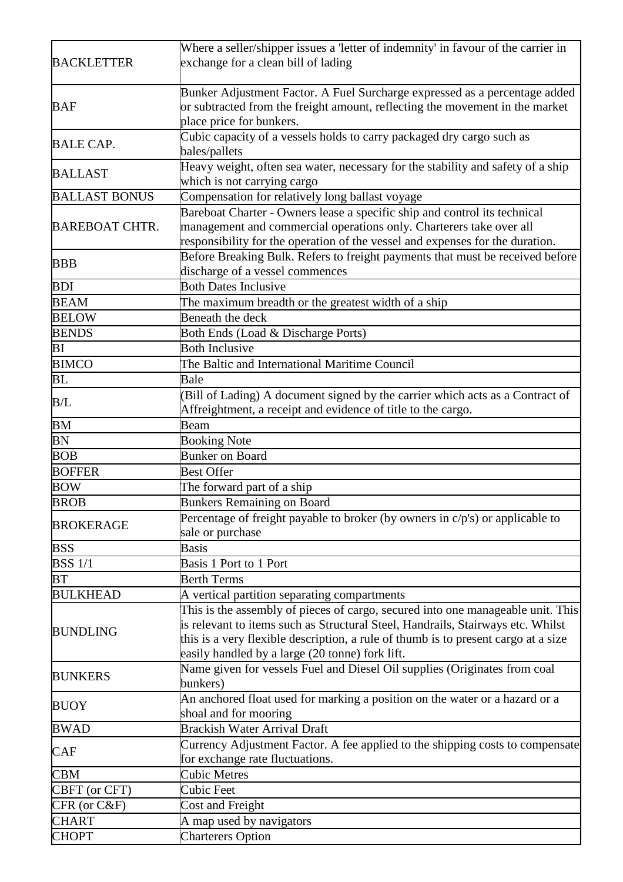| <b>BACKLETTER</b>     | Where a seller/shipper issues a 'letter of indemnity' in favour of the carrier in<br>exchange for a clean bill of lading                                                                                                                                                                                    |
|-----------------------|-------------------------------------------------------------------------------------------------------------------------------------------------------------------------------------------------------------------------------------------------------------------------------------------------------------|
| <b>BAF</b>            | Bunker Adjustment Factor. A Fuel Surcharge expressed as a percentage added<br>or subtracted from the freight amount, reflecting the movement in the market<br>place price for bunkers.                                                                                                                      |
| <b>BALE CAP.</b>      | Cubic capacity of a vessels holds to carry packaged dry cargo such as<br>bales/pallets                                                                                                                                                                                                                      |
| <b>BALLAST</b>        | Heavy weight, often sea water, necessary for the stability and safety of a ship<br>which is not carrying cargo                                                                                                                                                                                              |
| <b>BALLAST BONUS</b>  | Compensation for relatively long ballast voyage                                                                                                                                                                                                                                                             |
| <b>BAREBOAT CHTR.</b> | Bareboat Charter - Owners lease a specific ship and control its technical<br>management and commercial operations only. Charterers take over all<br>responsibility for the operation of the vessel and expenses for the duration.                                                                           |
| <b>BBB</b>            | Before Breaking Bulk. Refers to freight payments that must be received before<br>discharge of a vessel commences                                                                                                                                                                                            |
| <b>BDI</b>            | <b>Both Dates Inclusive</b>                                                                                                                                                                                                                                                                                 |
| <b>BEAM</b>           | The maximum breadth or the greatest width of a ship                                                                                                                                                                                                                                                         |
| <b>BELOW</b>          | Beneath the deck                                                                                                                                                                                                                                                                                            |
| <b>BENDS</b>          | Both Ends (Load & Discharge Ports)                                                                                                                                                                                                                                                                          |
| BI                    | <b>Both Inclusive</b>                                                                                                                                                                                                                                                                                       |
| <b>BIMCO</b>          | The Baltic and International Maritime Council                                                                                                                                                                                                                                                               |
| BL                    | Bale                                                                                                                                                                                                                                                                                                        |
| B/L                   | (Bill of Lading) A document signed by the carrier which acts as a Contract of<br>Affreightment, a receipt and evidence of title to the cargo.                                                                                                                                                               |
| BM                    | Beam                                                                                                                                                                                                                                                                                                        |
| BN                    | <b>Booking Note</b>                                                                                                                                                                                                                                                                                         |
| <b>BOB</b>            | <b>Bunker on Board</b>                                                                                                                                                                                                                                                                                      |
| <b>BOFFER</b>         | <b>Best Offer</b>                                                                                                                                                                                                                                                                                           |
| <b>BOW</b>            | The forward part of a ship                                                                                                                                                                                                                                                                                  |
| <b>BROB</b>           | <b>Bunkers Remaining on Board</b>                                                                                                                                                                                                                                                                           |
| <b>BROKERAGE</b>      | Percentage of freight payable to broker (by owners in $c/p's$ ) or applicable to<br>sale or purchase                                                                                                                                                                                                        |
| <b>BSS</b>            | <b>Basis</b>                                                                                                                                                                                                                                                                                                |
| <b>BSS</b> 1/1        | Basis 1 Port to 1 Port                                                                                                                                                                                                                                                                                      |
| BT                    | <b>Berth Terms</b>                                                                                                                                                                                                                                                                                          |
| <b>BULKHEAD</b>       | A vertical partition separating compartments                                                                                                                                                                                                                                                                |
| <b>BUNDLING</b>       | This is the assembly of pieces of cargo, secured into one manageable unit. This<br>is relevant to items such as Structural Steel, Handrails, Stairways etc. Whilst<br>this is a very flexible description, a rule of thumb is to present cargo at a size<br>easily handled by a large (20 tonne) fork lift. |
| <b>BUNKERS</b>        | Name given for vessels Fuel and Diesel Oil supplies (Originates from coal<br>bunkers)                                                                                                                                                                                                                       |
| <b>BUOY</b>           | An anchored float used for marking a position on the water or a hazard or a<br>shoal and for mooring                                                                                                                                                                                                        |
| <b>BWAD</b>           | <b>Brackish Water Arrival Draft</b>                                                                                                                                                                                                                                                                         |
| <b>CAF</b>            | Currency Adjustment Factor. A fee applied to the shipping costs to compensate<br>for exchange rate fluctuations.                                                                                                                                                                                            |
| <b>CBM</b>            | Cubic Metres                                                                                                                                                                                                                                                                                                |
| CBFT (or CFT)         | Cubic Feet                                                                                                                                                                                                                                                                                                  |
| CFR (or C&F)          | Cost and Freight                                                                                                                                                                                                                                                                                            |
| <b>CHART</b>          | A map used by navigators                                                                                                                                                                                                                                                                                    |
| <b>CHOPT</b>          | <b>Charterers Option</b>                                                                                                                                                                                                                                                                                    |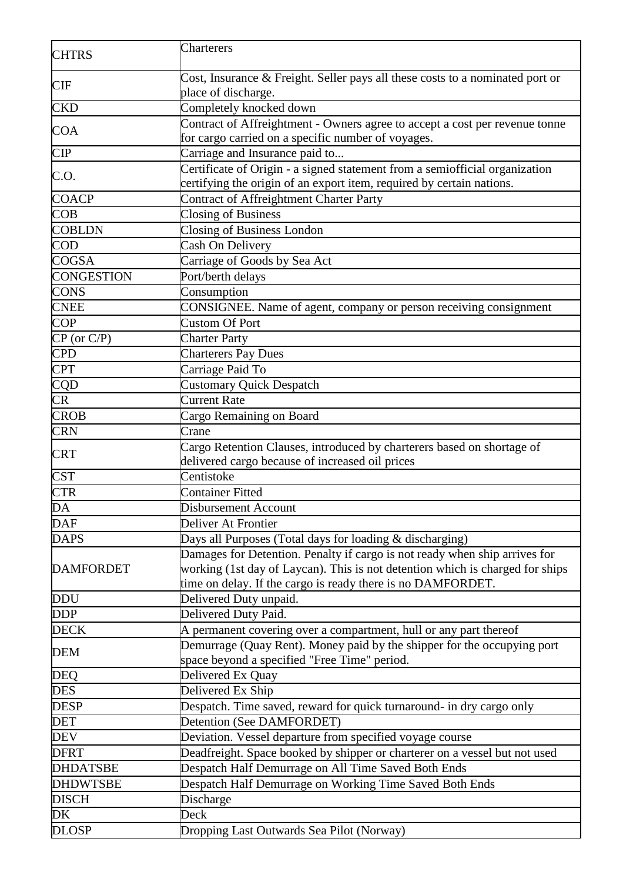| <b>CHTRS</b>      | Charterers                                                                                                                                   |
|-------------------|----------------------------------------------------------------------------------------------------------------------------------------------|
| <b>CIF</b>        | Cost, Insurance & Freight. Seller pays all these costs to a nominated port or<br>place of discharge.                                         |
| <b>CKD</b>        | Completely knocked down                                                                                                                      |
|                   | Contract of Affreightment - Owners agree to accept a cost per revenue tonne                                                                  |
| <b>COA</b>        | for cargo carried on a specific number of voyages.                                                                                           |
| <b>CIP</b>        | Carriage and Insurance paid to                                                                                                               |
| C.O.              | Certificate of Origin - a signed statement from a semiofficial organization                                                                  |
|                   | certifying the origin of an export item, required by certain nations.                                                                        |
| <b>COACP</b>      | Contract of Affreightment Charter Party                                                                                                      |
| COB               | <b>Closing of Business</b>                                                                                                                   |
| <b>COBLDN</b>     | Closing of Business London                                                                                                                   |
| $\overline{COD}$  | Cash On Delivery                                                                                                                             |
| <b>COGSA</b>      | Carriage of Goods by Sea Act                                                                                                                 |
| <b>CONGESTION</b> | Port/berth delays                                                                                                                            |
| <b>CONS</b>       | Consumption                                                                                                                                  |
| <b>CNEE</b>       | CONSIGNEE. Name of agent, company or person receiving consignment                                                                            |
| <b>COP</b>        | <b>Custom Of Port</b>                                                                                                                        |
| $CP$ (or $C/P$ )  | <b>Charter Party</b>                                                                                                                         |
| <b>CPD</b>        | <b>Charterers Pay Dues</b>                                                                                                                   |
| <b>CPT</b>        | Carriage Paid To                                                                                                                             |
| <b>CQD</b>        | <b>Customary Quick Despatch</b>                                                                                                              |
| CR                | Current Rate                                                                                                                                 |
| <b>CROB</b>       | Cargo Remaining on Board                                                                                                                     |
| <b>CRN</b>        | Crane                                                                                                                                        |
| <b>CRT</b>        | Cargo Retention Clauses, introduced by charterers based on shortage of<br>delivered cargo because of increased oil prices                    |
| <b>CST</b>        | Centistoke                                                                                                                                   |
| <b>CTR</b>        | <b>Container Fitted</b>                                                                                                                      |
| DA                | <b>Disbursement Account</b>                                                                                                                  |
| <b>DAF</b>        | Deliver At Frontier                                                                                                                          |
| <b>DAPS</b>       | Days all Purposes (Total days for loading & discharging)                                                                                     |
|                   | Damages for Detention. Penalty if cargo is not ready when ship arrives for                                                                   |
| <b>DAMFORDET</b>  | working (1st day of Laycan). This is not detention which is charged for ships<br>time on delay. If the cargo is ready there is no DAMFORDET. |
| <b>DDU</b>        | Delivered Duty unpaid.                                                                                                                       |
| <b>DDP</b>        | Delivered Duty Paid.                                                                                                                         |
| <b>DECK</b>       | A permanent covering over a compartment, hull or any part thereof                                                                            |
|                   | Demurrage (Quay Rent). Money paid by the shipper for the occupying port                                                                      |
| <b>DEM</b>        | space beyond a specified "Free Time" period.                                                                                                 |
| <b>DEQ</b>        | Delivered Ex Quay                                                                                                                            |
| <b>DES</b>        | Delivered Ex Ship                                                                                                                            |
| <b>DESP</b>       | Despatch. Time saved, reward for quick turnaround- in dry cargo only                                                                         |
| <b>DET</b>        | Detention (See DAMFORDET)                                                                                                                    |
| <b>DEV</b>        | Deviation. Vessel departure from specified voyage course                                                                                     |
| <b>DFRT</b>       | Deadfreight. Space booked by shipper or charterer on a vessel but not used                                                                   |
| <b>DHDATSBE</b>   |                                                                                                                                              |
|                   | Despatch Half Demurrage on All Time Saved Both Ends                                                                                          |
| <b>DHDWTSBE</b>   | Despatch Half Demurrage on Working Time Saved Both Ends                                                                                      |
| <b>DISCH</b>      | Discharge                                                                                                                                    |
| DK                | Deck                                                                                                                                         |
| <b>DLOSP</b>      | Dropping Last Outwards Sea Pilot (Norway)                                                                                                    |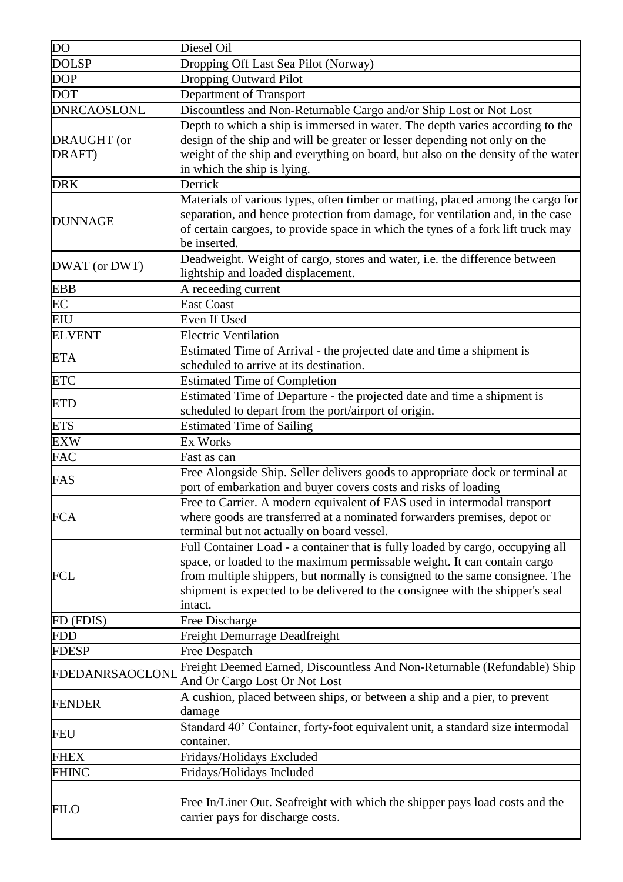| $\overline{DO}$       | Diesel Oil                                                                                                                                                                                                                                                                                                                             |
|-----------------------|----------------------------------------------------------------------------------------------------------------------------------------------------------------------------------------------------------------------------------------------------------------------------------------------------------------------------------------|
| <b>DOLSP</b>          | Dropping Off Last Sea Pilot (Norway)                                                                                                                                                                                                                                                                                                   |
| <b>DOP</b>            | Dropping Outward Pilot                                                                                                                                                                                                                                                                                                                 |
| <b>DOT</b>            | Department of Transport                                                                                                                                                                                                                                                                                                                |
| <b>DNRCAOSLONL</b>    | Discountless and Non-Returnable Cargo and/or Ship Lost or Not Lost                                                                                                                                                                                                                                                                     |
| DRAUGHT (or<br>DRAFT) | Depth to which a ship is immersed in water. The depth varies according to the<br>design of the ship and will be greater or lesser depending not only on the<br>weight of the ship and everything on board, but also on the density of the water<br>in which the ship is lying.                                                         |
| <b>DRK</b>            | Derrick                                                                                                                                                                                                                                                                                                                                |
| <b>DUNNAGE</b>        | Materials of various types, often timber or matting, placed among the cargo for<br>separation, and hence protection from damage, for ventilation and, in the case<br>of certain cargoes, to provide space in which the tynes of a fork lift truck may<br>be inserted.                                                                  |
| DWAT (or DWT)         | Deadweight. Weight of cargo, stores and water, i.e. the difference between<br>lightship and loaded displacement.                                                                                                                                                                                                                       |
| <b>EBB</b>            | A receeding current                                                                                                                                                                                                                                                                                                                    |
| EC                    | <b>East Coast</b>                                                                                                                                                                                                                                                                                                                      |
| <b>EIU</b>            | Even If Used                                                                                                                                                                                                                                                                                                                           |
| <b>ELVENT</b>         | <b>Electric Ventilation</b>                                                                                                                                                                                                                                                                                                            |
| <b>ETA</b>            | Estimated Time of Arrival - the projected date and time a shipment is<br>scheduled to arrive at its destination.                                                                                                                                                                                                                       |
| <b>ETC</b>            | <b>Estimated Time of Completion</b>                                                                                                                                                                                                                                                                                                    |
| <b>ETD</b>            | Estimated Time of Departure - the projected date and time a shipment is<br>scheduled to depart from the port/airport of origin.                                                                                                                                                                                                        |
| <b>ETS</b>            | <b>Estimated Time of Sailing</b>                                                                                                                                                                                                                                                                                                       |
| <b>EXW</b>            | Ex Works                                                                                                                                                                                                                                                                                                                               |
| <b>FAC</b>            | Fast as can                                                                                                                                                                                                                                                                                                                            |
| FAS                   | Free Alongside Ship. Seller delivers goods to appropriate dock or terminal at<br>port of embarkation and buyer covers costs and risks of loading                                                                                                                                                                                       |
| <b>FCA</b>            | Free to Carrier. A modern equivalent of FAS used in intermodal transport<br>where goods are transferred at a nominated forwarders premises, depot or<br>terminal but not actually on board vessel.                                                                                                                                     |
| <b>FCL</b>            | Full Container Load - a container that is fully loaded by cargo, occupying all<br>space, or loaded to the maximum permissable weight. It can contain cargo<br>from multiple shippers, but normally is consigned to the same consignee. The<br>shipment is expected to be delivered to the consignee with the shipper's seal<br>intact. |
| FD (FDIS)             | Free Discharge                                                                                                                                                                                                                                                                                                                         |
| <b>FDD</b>            | <b>Freight Demurrage Deadfreight</b>                                                                                                                                                                                                                                                                                                   |
| <b>FDESP</b>          | <b>Free Despatch</b>                                                                                                                                                                                                                                                                                                                   |
| FDEDANRSAOCLONL       | Freight Deemed Earned, Discountless And Non-Returnable (Refundable) Ship<br>And Or Cargo Lost Or Not Lost                                                                                                                                                                                                                              |
| <b>FENDER</b>         | A cushion, placed between ships, or between a ship and a pier, to prevent<br>damage                                                                                                                                                                                                                                                    |
| <b>FEU</b>            | Standard 40' Container, forty-foot equivalent unit, a standard size intermodal<br>container.                                                                                                                                                                                                                                           |
| <b>FHEX</b>           | Fridays/Holidays Excluded                                                                                                                                                                                                                                                                                                              |
| <b>FHINC</b>          | Fridays/Holidays Included                                                                                                                                                                                                                                                                                                              |
| <b>FILO</b>           | Free In/Liner Out. Seafreight with which the shipper pays load costs and the<br>carrier pays for discharge costs.                                                                                                                                                                                                                      |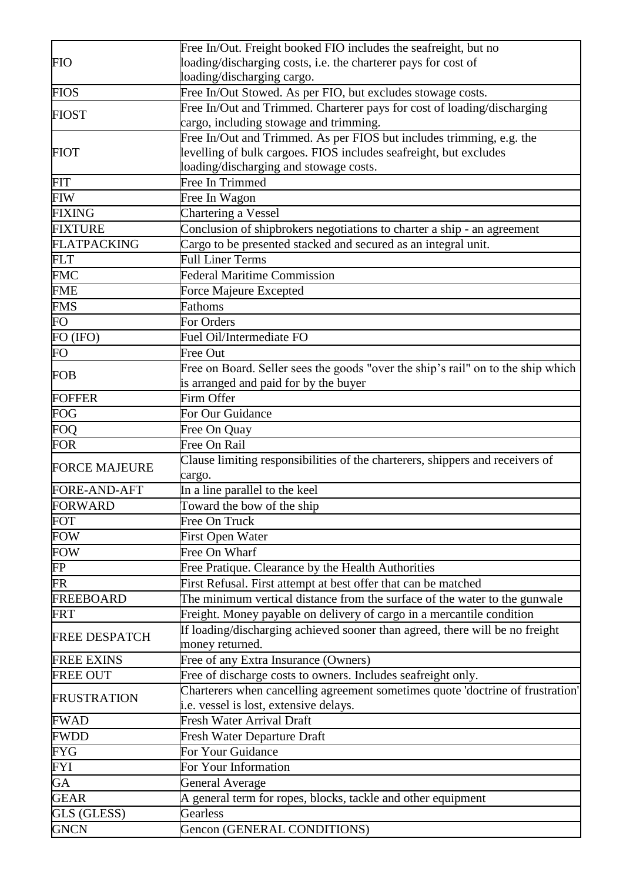| <b>FIO</b>           | Free In/Out. Freight booked FIO includes the seafreight, but no                  |
|----------------------|----------------------------------------------------------------------------------|
|                      | loading/discharging costs, i.e. the charterer pays for cost of                   |
|                      | loading/discharging cargo.                                                       |
| <b>FIOS</b>          | Free In/Out Stowed. As per FIO, but excludes stowage costs.                      |
| <b>FIOST</b>         | Free In/Out and Trimmed. Charterer pays for cost of loading/discharging          |
|                      | cargo, including stowage and trimming.                                           |
|                      | Free In/Out and Trimmed. As per FIOS but includes trimming, e.g. the             |
| <b>FIOT</b>          | levelling of bulk cargoes. FIOS includes seafreight, but excludes                |
|                      | loading/discharging and stowage costs.                                           |
| <b>FIT</b>           | Free In Trimmed                                                                  |
| <b>FIW</b>           | Free In Wagon                                                                    |
| <b>FIXING</b>        | Chartering a Vessel                                                              |
| <b>FIXTURE</b>       | Conclusion of shipbrokers negotiations to charter a ship - an agreement          |
| <b>FLATPACKING</b>   | Cargo to be presented stacked and secured as an integral unit.                   |
| <b>FLT</b>           | <b>Full Liner Terms</b>                                                          |
| <b>FMC</b>           | <b>Federal Maritime Commission</b>                                               |
| <b>FME</b>           | <b>Force Majeure Excepted</b>                                                    |
| <b>FMS</b>           | <b>Fathoms</b>                                                                   |
| <b>FO</b>            | For Orders                                                                       |
| FO (IFO)             | Fuel Oil/Intermediate FO                                                         |
| FO                   | <b>Free Out</b>                                                                  |
|                      | Free on Board. Seller sees the goods "over the ship's rail" on to the ship which |
| <b>FOB</b>           | is arranged and paid for by the buyer                                            |
| <b>FOFFER</b>        | Firm Offer                                                                       |
| <b>FOG</b>           | For Our Guidance                                                                 |
| <b>FOQ</b>           | Free On Quay                                                                     |
| <b>FOR</b>           | Free On Rail                                                                     |
|                      | Clause limiting responsibilities of the charterers, shippers and receivers of    |
| <b>FORCE MAJEURE</b> | cargo.                                                                           |
| FORE-AND-AFT         | In a line parallel to the keel                                                   |
| <b>FORWARD</b>       | Toward the bow of the ship                                                       |
| <b>FOT</b>           | Free On Truck                                                                    |
| <b>FOW</b>           | <b>First Open Water</b>                                                          |
| <b>FOW</b>           | Free On Wharf                                                                    |
| FP                   | Free Pratique. Clearance by the Health Authorities                               |
| <b>FR</b>            | First Refusal. First attempt at best offer that can be matched                   |
| <b>FREEBOARD</b>     | The minimum vertical distance from the surface of the water to the gunwale       |
| <b>FRT</b>           | Freight. Money payable on delivery of cargo in a mercantile condition            |
|                      | If loading/discharging achieved sooner than agreed, there will be no freight     |
| <b>FREE DESPATCH</b> | money returned.                                                                  |
| <b>FREE EXINS</b>    | Free of any Extra Insurance (Owners)                                             |
| <b>FREE OUT</b>      | Free of discharge costs to owners. Includes seafreight only.                     |
|                      | Charterers when cancelling agreement sometimes quote 'doctrine of frustration'   |
| <b>FRUSTRATION</b>   | i.e. vessel is lost, extensive delays.                                           |
| <b>FWAD</b>          | <b>Fresh Water Arrival Draft</b>                                                 |
| <b>FWDD</b>          | Fresh Water Departure Draft                                                      |
| <b>FYG</b>           | For Your Guidance                                                                |
| <b>FYI</b>           | For Your Information                                                             |
| GA                   | <b>General Average</b>                                                           |
| <b>GEAR</b>          | A general term for ropes, blocks, tackle and other equipment                     |
| GLS (GLESS)          | Gearless                                                                         |
| <b>GNCN</b>          | Gencon (GENERAL CONDITIONS)                                                      |
|                      |                                                                                  |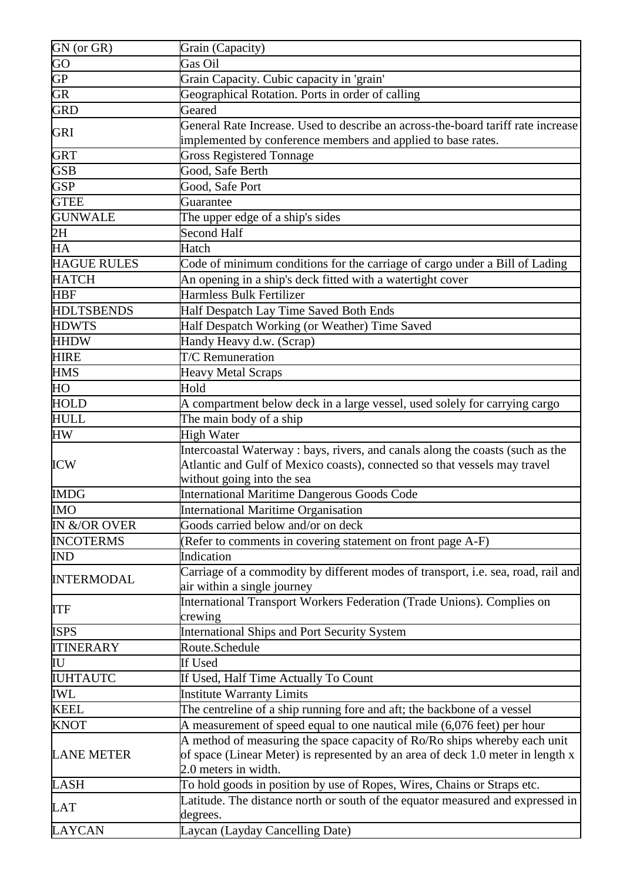| GN (or GR)          | Grain (Capacity)                                                                                      |
|---------------------|-------------------------------------------------------------------------------------------------------|
| $\overline{\rm GO}$ | Gas Oil                                                                                               |
| GP                  | Grain Capacity. Cubic capacity in 'grain'                                                             |
| <b>GR</b>           | Geographical Rotation. Ports in order of calling                                                      |
| <b>GRD</b>          | Geared                                                                                                |
|                     | General Rate Increase. Used to describe an across-the-board tariff rate increase                      |
| GRI                 | implemented by conference members and applied to base rates.                                          |
| <b>GRT</b>          | <b>Gross Registered Tonnage</b>                                                                       |
| <b>GSB</b>          | Good, Safe Berth                                                                                      |
| <b>GSP</b>          | Good, Safe Port                                                                                       |
| <b>GTEE</b>         | Guarantee                                                                                             |
| <b>GUNWALE</b>      | The upper edge of a ship's sides                                                                      |
| 2H                  | <b>Second Half</b>                                                                                    |
| HA                  | Hatch                                                                                                 |
| <b>HAGUE RULES</b>  | Code of minimum conditions for the carriage of cargo under a Bill of Lading                           |
| <b>HATCH</b>        | An opening in a ship's deck fitted with a watertight cover                                            |
| <b>HBF</b>          | Harmless Bulk Fertilizer                                                                              |
| <b>HDLTSBENDS</b>   | Half Despatch Lay Time Saved Both Ends                                                                |
| <b>HDWTS</b>        | Half Despatch Working (or Weather) Time Saved                                                         |
| <b>HHDW</b>         | Handy Heavy d.w. (Scrap)                                                                              |
| <b>HIRE</b>         | <b>T/C</b> Remuneration                                                                               |
| <b>HMS</b>          | <b>Heavy Metal Scraps</b>                                                                             |
| HO                  | Hold                                                                                                  |
| <b>HOLD</b>         | A compartment below deck in a large vessel, used solely for carrying cargo                            |
| <b>HULL</b>         | The main body of a ship                                                                               |
| <b>HW</b>           | High Water                                                                                            |
|                     | Intercoastal Waterway : bays, rivers, and canals along the coasts (such as the                        |
| <b>ICW</b>          | Atlantic and Gulf of Mexico coasts), connected so that vessels may travel                             |
|                     | without going into the sea                                                                            |
| <b>IMDG</b>         | <b>International Maritime Dangerous Goods Code</b>                                                    |
| <b>IMO</b>          | <b>International Maritime Organisation</b>                                                            |
| IN &/OR OVER        | Goods carried below and/or on deck                                                                    |
| <b>INCOTERMS</b>    | (Refer to comments in covering statement on front page A-F)                                           |
| <b>IND</b>          | Indication                                                                                            |
| <b>INTERMODAL</b>   | Carriage of a commodity by different modes of transport, i.e. sea, road, rail and                     |
|                     | air within a single journey<br>International Transport Workers Federation (Trade Unions). Complies on |
| <b>ITF</b>          | crewing                                                                                               |
| <b>ISPS</b>         | <b>International Ships and Port Security System</b>                                                   |
| <b>ITINERARY</b>    | Route.Schedule                                                                                        |
| IU                  | If Used                                                                                               |
| <b>IUHTAUTC</b>     | If Used, Half Time Actually To Count                                                                  |
| IWL                 | <b>Institute Warranty Limits</b>                                                                      |
| <b>KEEL</b>         | The centreline of a ship running fore and aft; the backbone of a vessel                               |
| <b>KNOT</b>         | A measurement of speed equal to one nautical mile (6,076 feet) per hour                               |
| <b>LANE METER</b>   | A method of measuring the space capacity of Ro/Ro ships whereby each unit                             |
|                     | of space (Linear Meter) is represented by an area of deck 1.0 meter in length x                       |
|                     | 2.0 meters in width.                                                                                  |
| <b>LASH</b>         | To hold goods in position by use of Ropes, Wires, Chains or Straps etc.                               |
|                     | Latitude. The distance north or south of the equator measured and expressed in                        |
| <b>LAT</b>          | degrees.                                                                                              |
| <b>LAYCAN</b>       | Laycan (Layday Cancelling Date)                                                                       |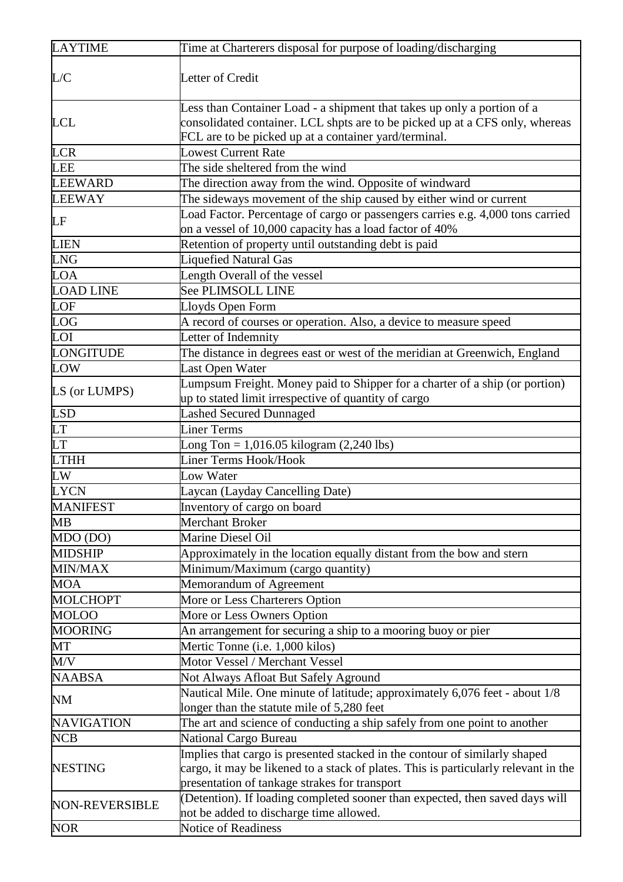| <b>LAYTIME</b>         | Time at Charterers disposal for purpose of loading/discharging                                                                                                                                                   |
|------------------------|------------------------------------------------------------------------------------------------------------------------------------------------------------------------------------------------------------------|
| L/C                    | Letter of Credit                                                                                                                                                                                                 |
| <b>LCL</b>             | Less than Container Load - a shipment that takes up only a portion of a<br>consolidated container. LCL shpts are to be picked up at a CFS only, whereas<br>FCL are to be picked up at a container yard/terminal. |
| <b>LCR</b>             | <b>Lowest Current Rate</b>                                                                                                                                                                                       |
| <b>LEE</b>             | The side sheltered from the wind                                                                                                                                                                                 |
| <b>LEEWARD</b>         | The direction away from the wind. Opposite of windward                                                                                                                                                           |
| <b>LEEWAY</b>          | The sideways movement of the ship caused by either wind or current                                                                                                                                               |
| LF                     | Load Factor. Percentage of cargo or passengers carries e.g. 4,000 tons carried<br>on a vessel of 10,000 capacity has a load factor of 40%                                                                        |
| <b>LIEN</b>            | Retention of property until outstanding debt is paid                                                                                                                                                             |
| <b>LNG</b>             | <b>Liquefied Natural Gas</b>                                                                                                                                                                                     |
| <b>LOA</b>             | Length Overall of the vessel                                                                                                                                                                                     |
| <b>LOAD LINE</b>       | <b>See PLIMSOLL LINE</b>                                                                                                                                                                                         |
| LOF                    | Lloyds Open Form                                                                                                                                                                                                 |
| LOG                    | A record of courses or operation. Also, a device to measure speed                                                                                                                                                |
| LOI                    | Letter of Indemnity                                                                                                                                                                                              |
| LONGITUDE              | The distance in degrees east or west of the meridian at Greenwich, England                                                                                                                                       |
| <b>LOW</b>             | Last Open Water                                                                                                                                                                                                  |
| LS (or LUMPS)          | Lumpsum Freight. Money paid to Shipper for a charter of a ship (or portion)<br>up to stated limit irrespective of quantity of cargo                                                                              |
| <b>LSD</b>             | <b>Lashed Secured Dunnaged</b>                                                                                                                                                                                   |
| <b>LT</b>              | <b>Liner Terms</b>                                                                                                                                                                                               |
| <b>LT</b>              | Long Ton = $1,016.05$ kilogram $(2,240$ lbs)                                                                                                                                                                     |
| <b>LTHH</b>            | <b>Liner Terms Hook/Hook</b>                                                                                                                                                                                     |
| $\overline{\text{LW}}$ | Low Water                                                                                                                                                                                                        |
| <b>LYCN</b>            | Laycan (Layday Cancelling Date)                                                                                                                                                                                  |
| <b>MANIFEST</b>        | Inventory of cargo on board                                                                                                                                                                                      |
| МB                     | Merchant Broker                                                                                                                                                                                                  |
| MDO (DO)               | Marine Diesel Oil                                                                                                                                                                                                |
| <b>MIDSHIP</b>         | Approximately in the location equally distant from the bow and stern                                                                                                                                             |
| MIN/MAX                | Minimum/Maximum (cargo quantity)                                                                                                                                                                                 |
| <b>MOA</b>             | Memorandum of Agreement                                                                                                                                                                                          |
| <b>MOLCHOPT</b>        | More or Less Charterers Option                                                                                                                                                                                   |
| <b>MOLOO</b>           | More or Less Owners Option                                                                                                                                                                                       |
| <b>MOORING</b>         | An arrangement for securing a ship to a mooring buoy or pier                                                                                                                                                     |
| MT                     | Mertic Tonne (i.e. 1,000 kilos)                                                                                                                                                                                  |
| M/V                    | Motor Vessel / Merchant Vessel                                                                                                                                                                                   |
| <b>NAABSA</b>          | Not Always Afloat But Safely Aground                                                                                                                                                                             |
| <b>NM</b>              | Nautical Mile. One minute of latitude; approximately 6,076 feet - about 1/8<br>longer than the statute mile of 5,280 feet                                                                                        |
| <b>NAVIGATION</b>      | The art and science of conducting a ship safely from one point to another                                                                                                                                        |
| <b>NCB</b>             | National Cargo Bureau                                                                                                                                                                                            |
| <b>NESTING</b>         | Implies that cargo is presented stacked in the contour of similarly shaped                                                                                                                                       |
|                        | cargo, it may be likened to a stack of plates. This is particularly relevant in the                                                                                                                              |
|                        | presentation of tankage strakes for transport                                                                                                                                                                    |
| <b>NON-REVERSIBLE</b>  | (Detention). If loading completed sooner than expected, then saved days will<br>not be added to discharge time allowed.                                                                                          |
| <b>NOR</b>             | Notice of Readiness                                                                                                                                                                                              |
|                        |                                                                                                                                                                                                                  |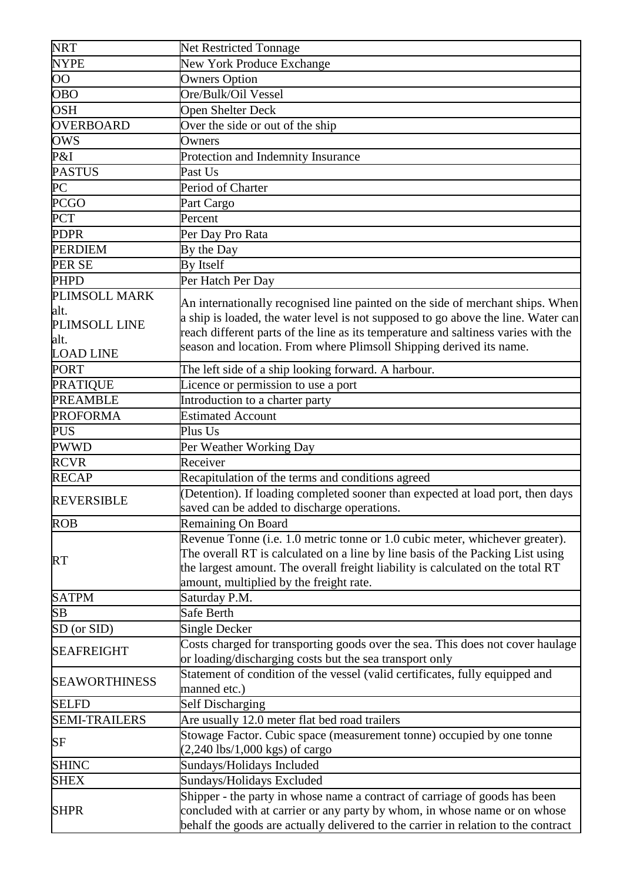| <b>NRT</b>           | <b>Net Restricted Tonnage</b>                                                      |
|----------------------|------------------------------------------------------------------------------------|
| <b>NYPE</b>          | New York Produce Exchange                                                          |
| $\overline{O}O$      | <b>Owners Option</b>                                                               |
| <b>OBO</b>           | Ore/Bulk/Oil Vessel                                                                |
| <b>OSH</b>           | <b>Open Shelter Deck</b>                                                           |
| <b>OVERBOARD</b>     | Over the side or out of the ship                                                   |
| <b>OWS</b>           | Owners                                                                             |
| P&I                  | Protection and Indemnity Insurance                                                 |
| <b>PASTUS</b>        | Past Us                                                                            |
| PC                   | Period of Charter                                                                  |
| <b>PCGO</b>          | Part Cargo                                                                         |
| <b>PCT</b>           | Percent                                                                            |
| <b>PDPR</b>          | Per Day Pro Rata                                                                   |
| <b>PERDIEM</b>       | By the Day                                                                         |
| <b>PER SE</b>        | <b>By Itself</b>                                                                   |
| <b>PHPD</b>          |                                                                                    |
| PLIMSOLL MARK        | Per Hatch Per Day                                                                  |
| alt.                 | An internationally recognised line painted on the side of merchant ships. When     |
| PLIMSOLL LINE        | a ship is loaded, the water level is not supposed to go above the line. Water can  |
| alt.                 | reach different parts of the line as its temperature and saltiness varies with the |
| <b>LOAD LINE</b>     | season and location. From where Plimsoll Shipping derived its name.                |
| <b>PORT</b>          | The left side of a ship looking forward. A harbour.                                |
| <b>PRATIQUE</b>      | Licence or permission to use a port                                                |
| <b>PREAMBLE</b>      | Introduction to a charter party                                                    |
| <b>PROFORMA</b>      | <b>Estimated Account</b>                                                           |
| <b>PUS</b>           | Plus Us                                                                            |
|                      |                                                                                    |
| PWWD                 | Per Weather Working Day                                                            |
| <b>RCVR</b>          | Receiver                                                                           |
| <b>RECAP</b>         | Recapitulation of the terms and conditions agreed                                  |
| <b>REVERSIBLE</b>    | (Detention). If loading completed sooner than expected at load port, then days     |
|                      | saved can be added to discharge operations.                                        |
| <b>ROB</b>           | Remaining On Board                                                                 |
|                      | Revenue Tonne (i.e. 1.0 metric tonne or 1.0 cubic meter, whichever greater).       |
| RT                   | The overall RT is calculated on a line by line basis of the Packing List using     |
|                      | the largest amount. The overall freight liability is calculated on the total RT    |
|                      | amount, multiplied by the freight rate.                                            |
| <b>SATPM</b>         | Saturday P.M.                                                                      |
| SB                   | Safe Berth                                                                         |
| SD (or SID)          | Single Decker                                                                      |
| <b>SEAFREIGHT</b>    | Costs charged for transporting goods over the sea. This does not cover haulage     |
|                      | or loading/discharging costs but the sea transport only                            |
| <b>SEAWORTHINESS</b> | Statement of condition of the vessel (valid certificates, fully equipped and       |
|                      | manned etc.)                                                                       |
| <b>SELFD</b>         | <b>Self Discharging</b>                                                            |
| <b>SEMI-TRAILERS</b> | Are usually 12.0 meter flat bed road trailers                                      |
| SF                   | Stowage Factor. Cubic space (measurement tonne) occupied by one tonne              |
|                      | $(2,240$ lbs/1,000 kgs) of cargo                                                   |
| <b>SHINC</b>         | Sundays/Holidays Included                                                          |
| <b>SHEX</b>          | Sundays/Holidays Excluded                                                          |
|                      | Shipper - the party in whose name a contract of carriage of goods has been         |
| <b>SHPR</b>          | concluded with at carrier or any party by whom, in whose name or on whose          |
|                      | behalf the goods are actually delivered to the carrier in relation to the contract |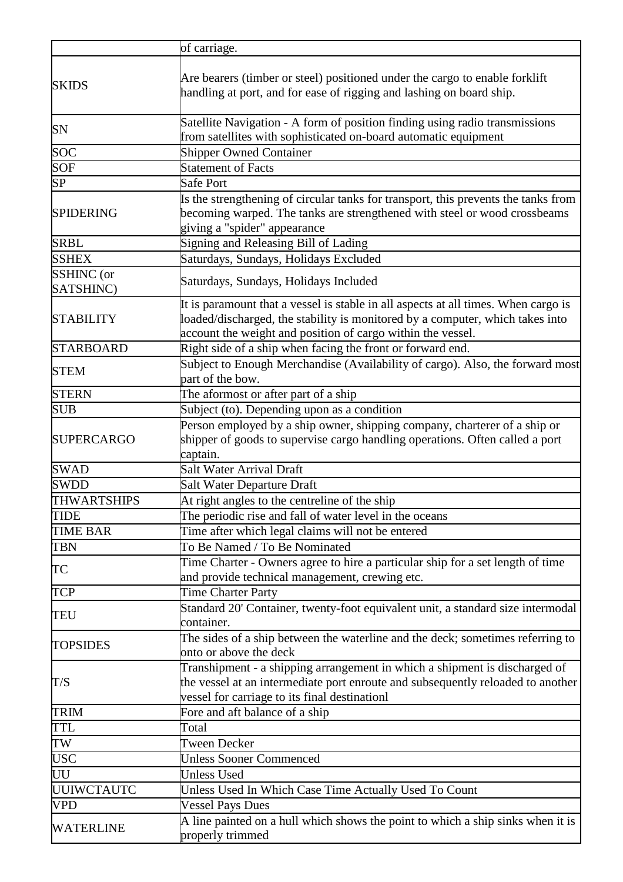|                    | of carriage.                                                                                                                                                                                                                       |
|--------------------|------------------------------------------------------------------------------------------------------------------------------------------------------------------------------------------------------------------------------------|
| <b>SKIDS</b>       | Are bearers (timber or steel) positioned under the cargo to enable forklift<br>handling at port, and for ease of rigging and lashing on board ship.                                                                                |
| SN                 | Satellite Navigation - A form of position finding using radio transmissions<br>from satellites with sophisticated on-board automatic equipment                                                                                     |
| SOC                | <b>Shipper Owned Container</b>                                                                                                                                                                                                     |
| <b>SOF</b>         | <b>Statement of Facts</b>                                                                                                                                                                                                          |
| SP                 | <b>Safe Port</b>                                                                                                                                                                                                                   |
| <b>SPIDERING</b>   | Is the strengthening of circular tanks for transport, this prevents the tanks from<br>becoming warped. The tanks are strengthened with steel or wood crossbeams<br>giving a "spider" appearance                                    |
| <b>SRBL</b>        | Signing and Releasing Bill of Lading                                                                                                                                                                                               |
| <b>SSHEX</b>       | Saturdays, Sundays, Holidays Excluded                                                                                                                                                                                              |
| SSHINC (or         |                                                                                                                                                                                                                                    |
| SATSHINC)          | Saturdays, Sundays, Holidays Included                                                                                                                                                                                              |
| <b>STABILITY</b>   | It is paramount that a vessel is stable in all aspects at all times. When cargo is<br>loaded/discharged, the stability is monitored by a computer, which takes into<br>account the weight and position of cargo within the vessel. |
| <b>STARBOARD</b>   | Right side of a ship when facing the front or forward end.                                                                                                                                                                         |
| <b>STEM</b>        | Subject to Enough Merchandise (Availability of cargo). Also, the forward most<br>part of the bow.                                                                                                                                  |
| <b>STERN</b>       | The aformost or after part of a ship                                                                                                                                                                                               |
| <b>SUB</b>         | Subject (to). Depending upon as a condition                                                                                                                                                                                        |
| <b>SUPERCARGO</b>  | Person employed by a ship owner, shipping company, charterer of a ship or<br>shipper of goods to supervise cargo handling operations. Often called a port<br>captain.                                                              |
| <b>SWAD</b>        | <b>Salt Water Arrival Draft</b>                                                                                                                                                                                                    |
| <b>SWDD</b>        | <b>Salt Water Departure Draft</b>                                                                                                                                                                                                  |
| <b>THWARTSHIPS</b> | At right angles to the centreline of the ship                                                                                                                                                                                      |
| <b>TIDE</b>        | The periodic rise and fall of water level in the oceans                                                                                                                                                                            |
| <b>TIME BAR</b>    | Time after which legal claims will not be entered                                                                                                                                                                                  |
| <b>TBN</b>         | To Be Named / To Be Nominated                                                                                                                                                                                                      |
| TC                 | Time Charter - Owners agree to hire a particular ship for a set length of time<br>and provide technical management, crewing etc.                                                                                                   |
| <b>TCP</b>         | <b>Time Charter Party</b>                                                                                                                                                                                                          |
| TEU                | Standard 20' Container, twenty-foot equivalent unit, a standard size intermodal<br>container.                                                                                                                                      |
| <b>TOPSIDES</b>    | The sides of a ship between the waterline and the deck; sometimes referring to<br>onto or above the deck                                                                                                                           |
| T/S                | Transhipment - a shipping arrangement in which a shipment is discharged of<br>the vessel at an intermediate port enroute and subsequently reloaded to another<br>vessel for carriage to its final destinationl                     |
| <b>TRIM</b>        | Fore and aft balance of a ship                                                                                                                                                                                                     |
| <b>TTL</b>         | Total                                                                                                                                                                                                                              |
| TW                 | <b>Tween Decker</b>                                                                                                                                                                                                                |
| <b>USC</b>         | <b>Unless Sooner Commenced</b>                                                                                                                                                                                                     |
| UU                 | <b>Unless Used</b>                                                                                                                                                                                                                 |
| <b>UUIWCTAUTC</b>  | Unless Used In Which Case Time Actually Used To Count                                                                                                                                                                              |
| <b>VPD</b>         | <b>Vessel Pays Dues</b>                                                                                                                                                                                                            |
| <b>WATERLINE</b>   | A line painted on a hull which shows the point to which a ship sinks when it is<br>properly trimmed                                                                                                                                |